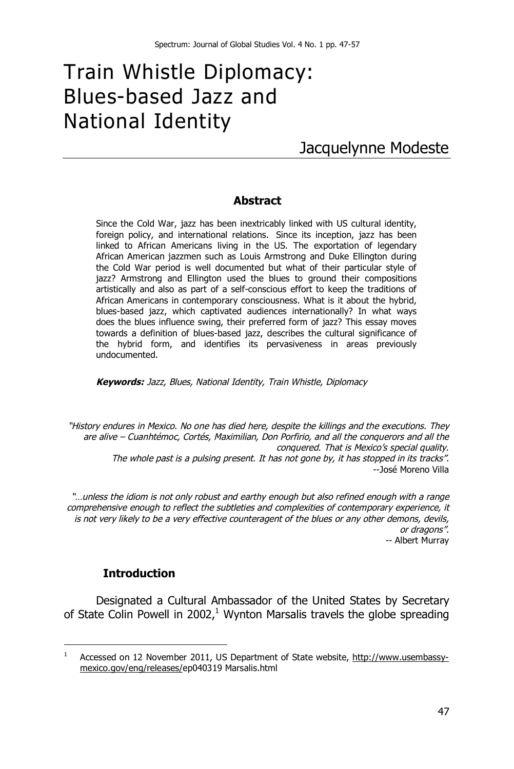# Train Whistle Diplomacy: Blues-based Jazz and National Identity

# Jacquelynne Modeste

#### **Abstract**

Since the Cold War, jazz has been inextricably linked with US cultural identity, foreign policy, and international relations. Since its inception, jazz has been linked to African Americans living in the US. The exportation of legendary African American jazzmen such as Louis Armstrong and Duke Ellington during the Cold War period is well documented but what of their particular style of jazz? Armstrong and Ellington used the blues to ground their compositions artistically and also as part of a self-conscious effort to keep the traditions of African Americans in contemporary consciousness. What is it about the hybrid, blues-based jazz, which captivated audiences internationally? In what ways does the blues influence swing, their preferred form of jazz? This essay moves towards a definition of blues-based jazz, describes the cultural significance of the hybrid form, and identifies its pervasiveness in areas previously undocumented.

*Keywords: Jazz, Blues, National Identity, Train Whistle, Diplomacy*

*"History endures in Mexico. No one has died here, despite the killings and the executions. They are alive – Cuanhtémoc, Cortés, Maximilian, Don Porfirio, and all the conquerors and all the conquered. That is Mexico's special quality. The whole past is a pulsing present. It has not gone by, it has stopped in its tracks".* --José Moreno Villa

*"…unless the idiom is not only robust and earthy enough but also refined enough with a range comprehensive enough to reflect the subtleties and complexities of contemporary experience, it is not very likely to be a very effective counteragent of the blues or any other demons, devils, or dragons".* -- Albert Murray

#### **Introduction**

Designated a Cultural Ambassador of the United States by Secretary of State Colin Powell in 2002, $1$  Wynton Marsalis travels the globe spreading

 $\frac{1}{1}$ Accessed on 12 November 2011, US Department of State website, http://www.usembassymexico.gov/eng/releases/ep040319 Marsalis.html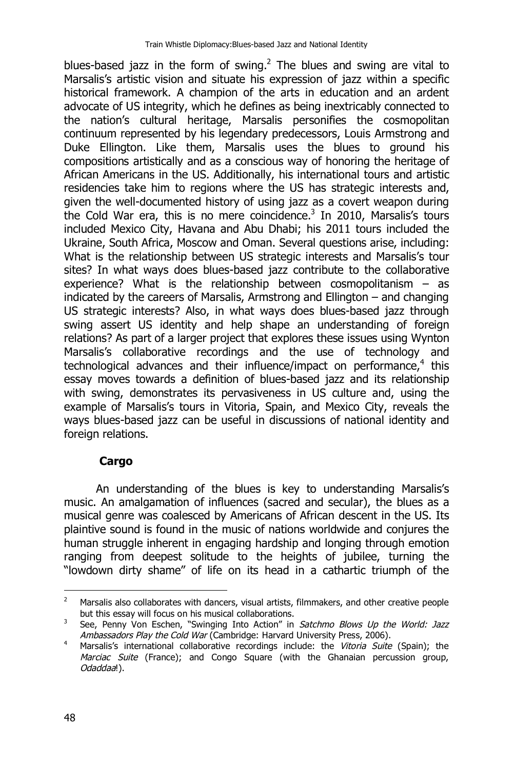blues-based jazz in the form of swing.<sup>2</sup> The blues and swing are vital to Marsalis's artistic vision and situate his expression of jazz within a specific historical framework. A champion of the arts in education and an ardent advocate of US integrity, which he defines as being inextricably connected to the nation's cultural heritage, Marsalis personifies the cosmopolitan continuum represented by his legendary predecessors, Louis Armstrong and Duke Ellington. Like them, Marsalis uses the blues to ground his compositions artistically and as a conscious way of honoring the heritage of African Americans in the US. Additionally, his international tours and artistic residencies take him to regions where the US has strategic interests and, given the well-documented history of using jazz as a covert weapon during the Cold War era, this is no mere coincidence. $3$  In 2010, Marsalis's tours included Mexico City, Havana and Abu Dhabi; his 2011 tours included the Ukraine, South Africa, Moscow and Oman. Several questions arise, including: What is the relationship between US strategic interests and Marsalis's tour sites? In what ways does blues-based jazz contribute to the collaborative experience? What is the relationship between cosmopolitanism – as indicated by the careers of Marsalis, Armstrong and Ellington – and changing US strategic interests? Also, in what ways does blues-based jazz through swing assert US identity and help shape an understanding of foreign relations? As part of a larger project that explores these issues using Wynton Marsalis's collaborative recordings and the use of technology and technological advances and their influence/impact on performance,<sup>4</sup> this essay moves towards a definition of blues-based jazz and its relationship with swing, demonstrates its pervasiveness in US culture and, using the example of Marsalis's tours in Vitoria, Spain, and Mexico City, reveals the ways blues-based jazz can be useful in discussions of national identity and foreign relations.

# **Cargo**

An understanding of the blues is key to understanding Marsalis's music. An amalgamation of influences (sacred and secular), the blues as a musical genre was coalesced by Americans of African descent in the US. Its plaintive sound is found in the music of nations worldwide and conjures the human struggle inherent in engaging hardship and longing through emotion ranging from deepest solitude to the heights of jubilee, turning the "lowdown dirty shame" of life on its head in a cathartic triumph of the

 $\overline{2}$ <sup>2</sup> Marsalis also collaborates with dancers, visual artists, filmmakers, and other creative people but this essay will focus on his musical collaborations.

<sup>3</sup> See, Penny Von Eschen, "Swinging Into Action" in *Satchmo Blows Up the World: Jazz Ambassadors Play the Cold War* (Cambridge: Harvard University Press, 2006).

<sup>4</sup> Marsalis's international collaborative recordings include: the *Vitoria Suite* (Spain); the *Marciac Suite* (France); and Congo Square (with the Ghanaian percussion group, *Odaddaa*!).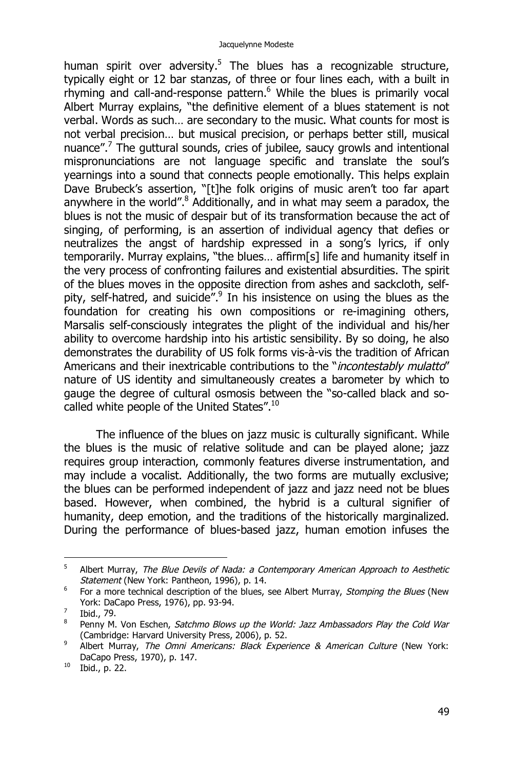human spirit over adversity.<sup>5</sup> The blues has a recognizable structure, typically eight or 12 bar stanzas, of three or four lines each, with a built in rhyming and call-and-response pattern.<sup>6</sup> While the blues is primarily vocal Albert Murray explains, "the definitive element of a blues statement is not verbal. Words as such… are secondary to the music. What counts for most is not verbal precision… but musical precision, or perhaps better still, musical nuance".<sup>7</sup> The guttural sounds, cries of jubilee, saucy growls and intentional mispronunciations are not language specific and translate the soul's yearnings into a sound that connects people emotionally. This helps explain Dave Brubeck's assertion, "[t]he folk origins of music aren't too far apart anywhere in the world".<sup>8</sup> Additionally, and in what may seem a paradox, the blues is not the music of despair but of its transformation because the act of singing, of performing, is an assertion of individual agency that defies or neutralizes the angst of hardship expressed in a song's lyrics, if only temporarily. Murray explains, "the blues… affirm[s] life and humanity itself in the very process of confronting failures and existential absurdities. The spirit of the blues moves in the opposite direction from ashes and sackcloth, selfpity, self-hatred, and suicide".<sup>9</sup> In his insistence on using the blues as the foundation for creating his own compositions or re-imagining others, Marsalis self-consciously integrates the plight of the individual and his/her ability to overcome hardship into his artistic sensibility. By so doing, he also demonstrates the durability of US folk forms vis-à-vis the tradition of African Americans and their inextricable contributions to the "*incontestably mulatto*" nature of US identity and simultaneously creates a barometer by which to gauge the degree of cultural osmosis between the "so-called black and socalled white people of the United States".<sup>10</sup>

The influence of the blues on jazz music is culturally significant. While the blues is the music of relative solitude and can be played alone; jazz requires group interaction, commonly features diverse instrumentation, and may include a vocalist. Additionally, the two forms are mutually exclusive; the blues can be performed independent of jazz and jazz need not be blues based. However, when combined, the hybrid is a cultural signifier of humanity, deep emotion, and the traditions of the historically marginalized. During the performance of blues-based jazz, human emotion infuses the

<sup>-&</sup>lt;br>5 Albert Murray, *The Blue Devils of Nada: a Contemporary American Approach to Aesthetic Statement* (New York: Pantheon, 1996), p. 14.

<sup>6</sup> For a more technical description of the blues, see Albert Murray, *Stomping the Blues* (New York: DaCapo Press, 1976), pp. 93-94.

<sup>7</sup> Ibid., 79.

<sup>8</sup> Penny M. Von Eschen, *Satchmo Blows up the World: Jazz Ambassadors Play the Cold War* (Cambridge: Harvard University Press, 2006), p. 52.

<sup>9</sup> Albert Murray, *The Omni Americans: Black Experience & American Culture* (New York: DaCapo Press, 1970), p. 147.

 $10$  Ibid., p. 22.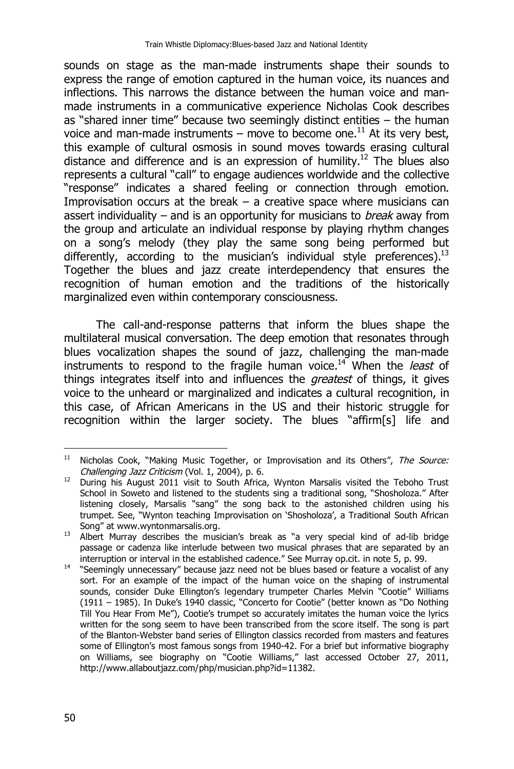sounds on stage as the man-made instruments shape their sounds to express the range of emotion captured in the human voice, its nuances and inflections. This narrows the distance between the human voice and manmade instruments in a communicative experience Nicholas Cook describes as "shared inner time" because two seemingly distinct entities – the human voice and man-made instruments – move to become one.<sup>11</sup> At its very best, this example of cultural osmosis in sound moves towards erasing cultural distance and difference and is an expression of humility.<sup>12</sup> The blues also represents a cultural "call" to engage audiences worldwide and the collective "response" indicates a shared feeling or connection through emotion. Improvisation occurs at the break  $-$  a creative space where musicians can assert individuality – and is an opportunity for musicians to *break* away from the group and articulate an individual response by playing rhythm changes on a song's melody (they play the same song being performed but differently, according to the musician's individual style preferences).<sup>13</sup> Together the blues and jazz create interdependency that ensures the recognition of human emotion and the traditions of the historically marginalized even within contemporary consciousness.

The call-and-response patterns that inform the blues shape the multilateral musical conversation. The deep emotion that resonates through blues vocalization shapes the sound of jazz, challenging the man-made instruments to respond to the fragile human voice.<sup>14</sup> When the *least* of things integrates itself into and influences the *greatest* of things, it gives voice to the unheard or marginalized and indicates a cultural recognition, in this case, of African Americans in the US and their historic struggle for recognition within the larger society. The blues "affirm[s] life and

 $11$ <sup>11</sup> Nicholas Cook, "Making Music Together, or Improvisation and its Others", *The Source: Challenging Jazz Criticism* (Vol. 1, 2004), p. 6.

<sup>&</sup>lt;sup>12</sup> During his August 2011 visit to South Africa, Wynton Marsalis visited the Teboho Trust School in Soweto and listened to the students sing a traditional song, "Shosholoza." After listening closely, Marsalis "sang" the song back to the astonished children using his trumpet. See, "Wynton teaching Improvisation on 'Shosholoza', a Traditional South African Song" at www.wyntonmarsalis.org.

<sup>13</sup> Albert Murray describes the musician's break as "a very special kind of ad-lib bridge passage or cadenza like interlude between two musical phrases that are separated by an interruption or interval in the established cadence." See Murray op.cit. in note 5, p. 99.

<sup>&</sup>lt;sup>14</sup> "Seemingly unnecessary" because jazz need not be blues based or feature a vocalist of any sort. For an example of the impact of the human voice on the shaping of instrumental sounds, consider Duke Ellington's legendary trumpeter Charles Melvin "Cootie" Williams (1911 – 1985). In Duke's 1940 classic, "Concerto for Cootie" (better known as "Do Nothing Till You Hear From Me"), Cootie's trumpet so accurately imitates the human voice the lyrics written for the song seem to have been transcribed from the score itself. The song is part of the Blanton-Webster band series of Ellington classics recorded from masters and features some of Ellington's most famous songs from 1940-42. For a brief but informative biography on Williams, see biography on "Cootie Williams," last accessed October 27, 2011, http://www.allaboutjazz.com/php/musician.php?id=11382.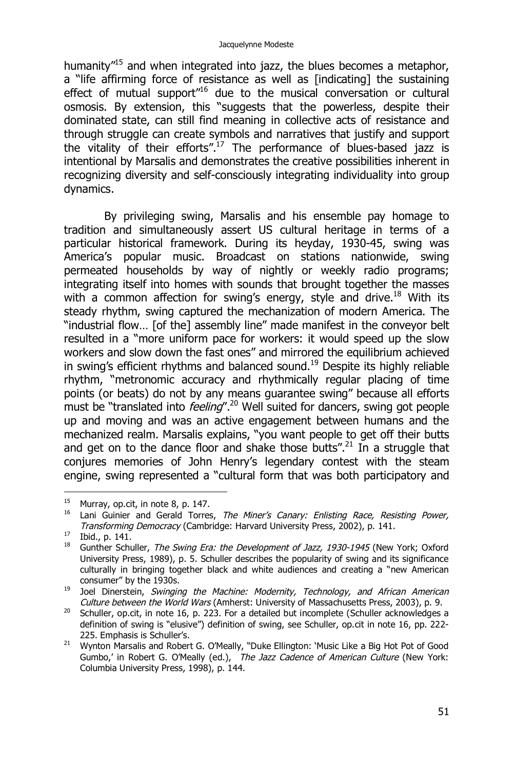humanity<sup>"15</sup> and when integrated into jazz, the blues becomes a metaphor, a "life affirming force of resistance as well as [indicating] the sustaining effect of mutual support<sup>"16</sup> due to the musical conversation or cultural osmosis. By extension, this "suggests that the powerless, despite their dominated state, can still find meaning in collective acts of resistance and through struggle can create symbols and narratives that justify and support the vitality of their efforts".<sup>17</sup> The performance of blues-based jazz is intentional by Marsalis and demonstrates the creative possibilities inherent in recognizing diversity and self-consciously integrating individuality into group dynamics.

By privileging swing, Marsalis and his ensemble pay homage to tradition and simultaneously assert US cultural heritage in terms of a particular historical framework. During its heyday, 1930-45, swing was America's popular music. Broadcast on stations nationwide, swing permeated households by way of nightly or weekly radio programs; integrating itself into homes with sounds that brought together the masses with a common affection for swing's energy, style and drive.<sup>18</sup> With its steady rhythm, swing captured the mechanization of modern America. The "industrial flow… [of the] assembly line" made manifest in the conveyor belt resulted in a "more uniform pace for workers: it would speed up the slow workers and slow down the fast ones" and mirrored the equilibrium achieved in swing's efficient rhythms and balanced sound.<sup>19</sup> Despite its highly reliable rhythm, "metronomic accuracy and rhythmically regular placing of time points (or beats) do not by any means guarantee swing" because all efforts must be "translated into *feeling*".<sup>20</sup> Well suited for dancers, swing got people up and moving and was an active engagement between humans and the mechanized realm. Marsalis explains, "you want people to get off their butts and get on to the dance floor and shake those butts".<sup>21</sup> In a struggle that conjures memories of John Henry's legendary contest with the steam engine, swing represented a "cultural form that was both participatory and

 $^{15}$  Murray, op.cit, in note 8, p. 147.

<sup>16</sup> Lani Guinier and Gerald Torres, *The Miner's Canary: Enlisting Race, Resisting Power, Transforming Democracy* (Cambridge: Harvard University Press, 2002), p. 141.

 $^{17}$  Ibid., p. 141.

<sup>18</sup> Gunther Schuller, *The Swing Era: the Development of Jazz, 1930-1945* (New York; Oxford University Press, 1989), p. 5. Schuller describes the popularity of swing and its significance culturally in bringing together black and white audiences and creating a "new American consumer" by the 1930s.

<sup>19</sup> Joel Dinerstein, *Swinging the Machine: Modernity, Technology, and African American Culture between the World Wars* (Amherst: University of Massachusetts Press, 2003), p. 9.

 $20$  Schuller, op.cit, in note 16, p. 223. For a detailed but incomplete (Schuller acknowledges a definition of swing is "elusive") definition of swing, see Schuller, op.cit in note 16, pp. 222- 225. Emphasis is Schuller's.

<sup>21</sup> Wynton Marsalis and Robert G. O'Meally, "Duke Ellington: 'Music Like a Big Hot Pot of Good Gumbo,' in Robert G. O'Meally (ed.), *The Jazz Cadence of American Culture* (New York: Columbia University Press, 1998), p. 144.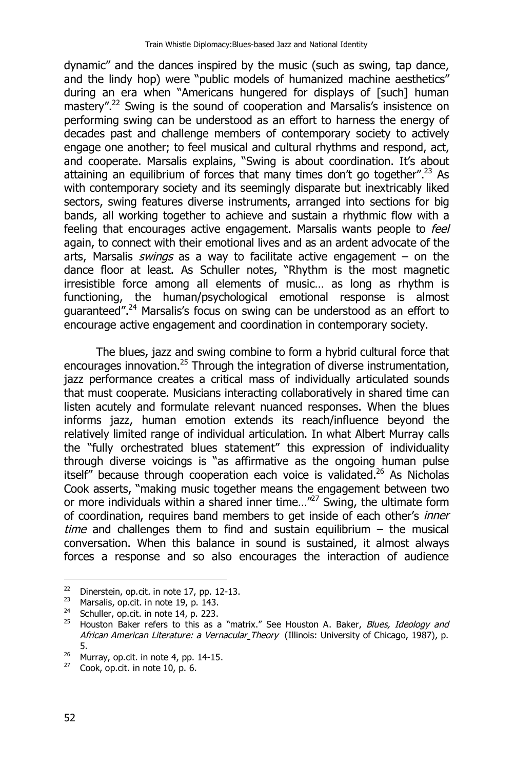dynamic" and the dances inspired by the music (such as swing, tap dance, and the lindy hop) were "public models of humanized machine aesthetics" during an era when "Americans hungered for displays of [such] human mastery".<sup>22</sup> Swing is the sound of cooperation and Marsalis's insistence on performing swing can be understood as an effort to harness the energy of decades past and challenge members of contemporary society to actively engage one another; to feel musical and cultural rhythms and respond, act, and cooperate. Marsalis explains, "Swing is about coordination. It's about attaining an equilibrium of forces that many times don't go together".<sup>23</sup> As with contemporary society and its seemingly disparate but inextricably liked sectors, swing features diverse instruments, arranged into sections for big bands, all working together to achieve and sustain a rhythmic flow with a feeling that encourages active engagement. Marsalis wants people to *feel* again, to connect with their emotional lives and as an ardent advocate of the arts, Marsalis *swings* as a way to facilitate active engagement – on the dance floor at least. As Schuller notes, "Rhythm is the most magnetic irresistible force among all elements of music… as long as rhythm is functioning, the human/psychological emotional response is almost guaranteed".<sup>24</sup> Marsalis's focus on swing can be understood as an effort to encourage active engagement and coordination in contemporary society.

The blues, jazz and swing combine to form a hybrid cultural force that encourages innovation.<sup>25</sup> Through the integration of diverse instrumentation, jazz performance creates a critical mass of individually articulated sounds that must cooperate. Musicians interacting collaboratively in shared time can listen acutely and formulate relevant nuanced responses. When the blues informs jazz, human emotion extends its reach/influence beyond the relatively limited range of individual articulation. In what Albert Murray calls the "fully orchestrated blues statement" this expression of individuality through diverse voicings is "as affirmative as the ongoing human pulse itself" because through cooperation each voice is validated.<sup>26</sup> As Nicholas Cook asserts, "making music together means the engagement between two or more individuals within a shared inner time...<sup>"27</sup> Swing, the ultimate form of coordination, requires band members to get inside of each other's *inner time* and challenges them to find and sustain equilibrium – the musical conversation. When this balance in sound is sustained, it almost always forces a response and so also encourages the interaction of audience

 $22$ <sup>22</sup> Dinerstein, op.cit. in note 17, pp. 12-13.<br><sup>23</sup> Marsalis op cit. in note 19 n 143

<sup>&</sup>lt;sup>23</sup> Marsalis, op.cit. in note 19, p. 143.<br><sup>24</sup> Schuller, on cit, in note 14, p. 223.

Schuller, op.cit. in note 14, p. 223.

<sup>25</sup> Houston Baker refers to this as a "matrix." See Houston A. Baker, *Blues, Ideology and African American Literature: a Vernacular Theory* (Illinois: University of Chicago, 1987), p. 5.

 $26$  Murray, op.cit. in note 4, pp. 14-15.

 $27$  Cook, op.cit. in note 10, p. 6.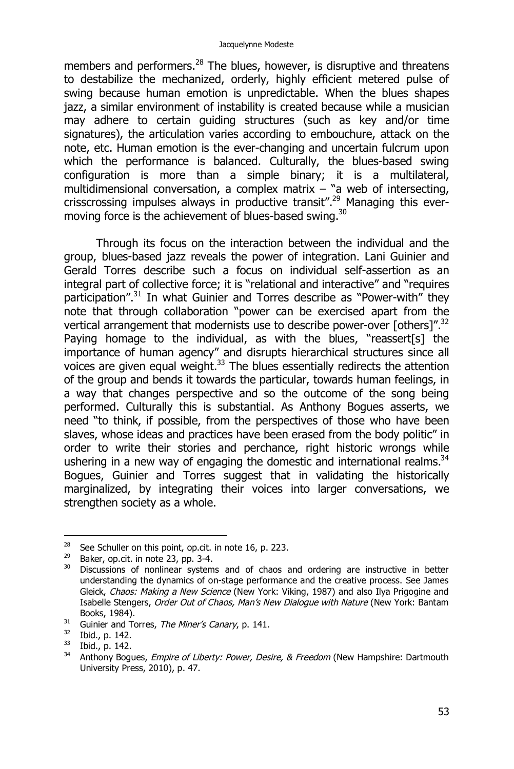members and performers. $^{28}$  The blues, however, is disruptive and threatens to destabilize the mechanized, orderly, highly efficient metered pulse of swing because human emotion is unpredictable. When the blues shapes jazz, a similar environment of instability is created because while a musician may adhere to certain guiding structures (such as key and/or time signatures), the articulation varies according to embouchure, attack on the note, etc. Human emotion is the ever-changing and uncertain fulcrum upon which the performance is balanced. Culturally, the blues-based swing configuration is more than a simple binary; it is a multilateral, multidimensional conversation, a complex matrix – "a web of intersecting, crisscrossing impulses always in productive transit".<sup>29</sup> Managing this evermoving force is the achievement of blues-based swing.<sup>30</sup>

Through its focus on the interaction between the individual and the group, blues-based jazz reveals the power of integration. Lani Guinier and Gerald Torres describe such a focus on individual self-assertion as an integral part of collective force; it is "relational and interactive" and "requires participation".<sup>31</sup> In what Guinier and Torres describe as "Power-with" they note that through collaboration "power can be exercised apart from the vertical arrangement that modernists use to describe power-over [others]".<sup>32</sup> Paying homage to the individual, as with the blues, "reassert[s] the importance of human agency" and disrupts hierarchical structures since all voices are given equal weight.<sup>33</sup> The blues essentially redirects the attention of the group and bends it towards the particular, towards human feelings, in a way that changes perspective and so the outcome of the song being performed. Culturally this is substantial. As Anthony Bogues asserts, we need "to think, if possible, from the perspectives of those who have been slaves, whose ideas and practices have been erased from the body politic" in order to write their stories and perchance, right historic wrongs while ushering in a new way of engaging the domestic and international realms.<sup>34</sup> Bogues, Guinier and Torres suggest that in validating the historically marginalized, by integrating their voices into larger conversations, we strengthen society as a whole.

<sup>28</sup> <sup>28</sup> See Schuller on this point, op.cit. in note 16, p. 223.<br><sup>29</sup> Baker, op.cit. in note 23, pp. 3-4

<sup>&</sup>lt;sup>29</sup> Baker, op.cit. in note 23, pp. 3-4.<br><sup>30</sup> Discussions of poplingar system

Discussions of nonlinear systems and of chaos and ordering are instructive in better understanding the dynamics of on-stage performance and the creative process. See James Gleick, *Chaos: Making a New Science* (New York: Viking, 1987) and also Ilya Prigogine and Isabelle Stengers, *Order Out of Chaos, Man's New Dialogue with Nature* (New York: Bantam Books, 1984).

<sup>&</sup>lt;sup>31</sup> Guinier and Torres, *The Miner's Canary*, p. 141.<br><sup>32</sup> Ibid n 142

 $rac{32}{33}$  Ibid., p. 142.

 $\frac{33}{34}$  Ibid., p. 142.

<sup>34</sup> Anthony Bogues, *Empire of Liberty: Power, Desire, & Freedom* (New Hampshire: Dartmouth University Press, 2010), p. 47.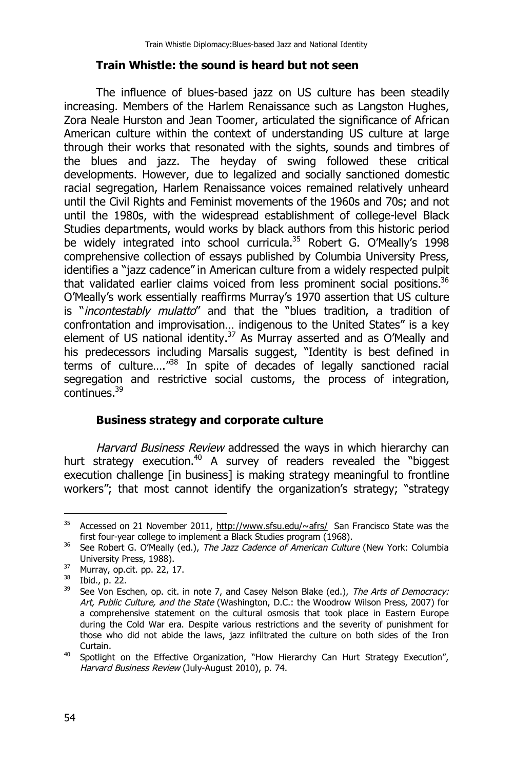#### **Train Whistle: the sound is heard but not seen**

The influence of blues-based jazz on US culture has been steadily increasing. Members of the Harlem Renaissance such as Langston Hughes, Zora Neale Hurston and Jean Toomer, articulated the significance of African American culture within the context of understanding US culture at large through their works that resonated with the sights, sounds and timbres of the blues and jazz. The heyday of swing followed these critical developments. However, due to legalized and socially sanctioned domestic racial segregation, Harlem Renaissance voices remained relatively unheard until the Civil Rights and Feminist movements of the 1960s and 70s; and not until the 1980s, with the widespread establishment of college-level Black Studies departments, would works by black authors from this historic period be widely integrated into school curricula.<sup>35</sup> Robert G. O'Meally's 1998 comprehensive collection of essays published by Columbia University Press, identifies a "jazz cadence" in American culture from a widely respected pulpit that validated earlier claims voiced from less prominent social positions.<sup>36</sup> O'Meally's work essentially reaffirms Murray's 1970 assertion that US culture is "*incontestably mulatto*" and that the "blues tradition, a tradition of confrontation and improvisation… indigenous to the United States" is a key element of US national identity.<sup>37</sup> As Murray asserted and as O'Meally and his predecessors including Marsalis suggest, "Identity is best defined in terms of culture…."<sup>38</sup> In spite of decades of legally sanctioned racial segregation and restrictive social customs, the process of integration, continues.<sup>39</sup>

#### **Business strategy and corporate culture**

*Harvard Business Review* addressed the ways in which hierarchy can hurt strategy execution.<sup>40</sup> A survey of readers revealed the "biggest execution challenge [in business] is making strategy meaningful to frontline workers"; that most cannot identify the organization's strategy; "strategy

 $\overline{a}$ <sup>35</sup> Accessed on 21 November 2011, http://www.sfsu.edu/~afrs/ San Francisco State was the first four-year college to implement a Black Studies program (1968).

<sup>36</sup> See Robert G. O'Meally (ed.), *The Jazz Cadence of American Culture* (New York: Columbia University Press, 1988).

<sup>37</sup> Murray, op.cit. pp. 22, 17.

 $38$  Ibid., p. 22.<br> $39$  See Von Esc

<sup>39</sup> See Von Eschen, op. cit. in note 7, and Casey Nelson Blake (ed.), *The Arts of Democracy: Art, Public Culture, and the State* (Washington, D.C.: the Woodrow Wilson Press, 2007) for a comprehensive statement on the cultural osmosis that took place in Eastern Europe during the Cold War era. Despite various restrictions and the severity of punishment for those who did not abide the laws, jazz infiltrated the culture on both sides of the Iron Curtain.

<sup>&</sup>lt;sup>40</sup> Spotlight on the Effective Organization, "How Hierarchy Can Hurt Strategy Execution", *Harvard Business Review* (July-August 2010), p. 74.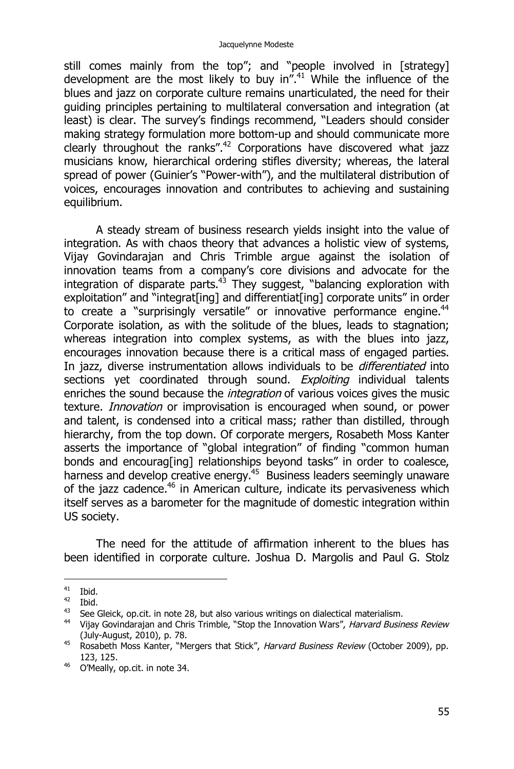still comes mainly from the top"; and "people involved in [strategy] development are the most likely to buy in".<sup>41</sup> While the influence of the blues and jazz on corporate culture remains unarticulated, the need for their guiding principles pertaining to multilateral conversation and integration (at least) is clear. The survey's findings recommend, "Leaders should consider making strategy formulation more bottom-up and should communicate more clearly throughout the ranks".<sup>42</sup> Corporations have discovered what jazz musicians know, hierarchical ordering stifles diversity; whereas, the lateral spread of power (Guinier's "Power-with"), and the multilateral distribution of voices, encourages innovation and contributes to achieving and sustaining equilibrium.

A steady stream of business research yields insight into the value of integration. As with chaos theory that advances a holistic view of systems, Vijay Govindarajan and Chris Trimble argue against the isolation of innovation teams from a company's core divisions and advocate for the integration of disparate parts.<sup>43</sup> They suggest, "balancing exploration with exploitation" and "integrat[ing] and differentiat[ing] corporate units" in order to create a "surprisingly versatile" or innovative performance engine.<sup>44</sup> Corporate isolation, as with the solitude of the blues, leads to stagnation; whereas integration into complex systems, as with the blues into jazz, encourages innovation because there is a critical mass of engaged parties. In jazz, diverse instrumentation allows individuals to be *differentiated* into sections yet coordinated through sound. *Exploiting* individual talents enriches the sound because the *integration* of various voices gives the music texture. *Innovation* or improvisation is encouraged when sound, or power and talent, is condensed into a critical mass; rather than distilled, through hierarchy, from the top down. Of corporate mergers, Rosabeth Moss Kanter asserts the importance of "global integration" of finding "common human bonds and encourag[ing] relationships beyond tasks" in order to coalesce, harness and develop creative energy.<sup>45</sup> Business leaders seemingly unaware of the jazz cadence.<sup>46</sup> in American culture, indicate its pervasiveness which itself serves as a barometer for the magnitude of domestic integration within US society.

The need for the attitude of affirmation inherent to the blues has been identified in corporate culture. Joshua D. Margolis and Paul G. Stolz

 $41$  Ibid.

 $\frac{42}{43}$  Ibid.

See Gleick, op.cit. in note 28, but also various writings on dialectical materialism.

<sup>44</sup> Vijay Govindarajan and Chris Trimble, "Stop the Innovation Wars", *Harvard Business Review* (July-August, 2010), p. 78.

<sup>45</sup> Rosabeth Moss Kanter, "Mergers that Stick", *Harvard Business Review* (October 2009), pp. 123, 125.

<sup>46</sup> O'Meally, op.cit. in note 34.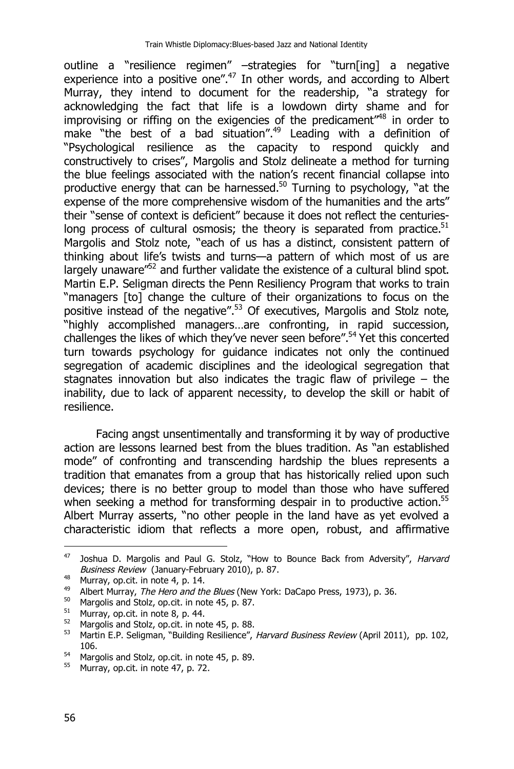outline a "resilience regimen" –strategies for "turn[ing] a negative experience into a positive one".<sup>47</sup> In other words, and according to Albert Murray, they intend to document for the readership, "a strategy for acknowledging the fact that life is a lowdown dirty shame and for improvising or riffing on the exigencies of the predicament<sup>"48</sup> in order to make "the best of a bad situation".<sup>49</sup> Leading with a definition of "Psychological resilience as the capacity to respond quickly and constructively to crises", Margolis and Stolz delineate a method for turning the blue feelings associated with the nation's recent financial collapse into productive energy that can be harnessed.<sup>50</sup> Turning to psychology, "at the expense of the more comprehensive wisdom of the humanities and the arts" their "sense of context is deficient" because it does not reflect the centurieslong process of cultural osmosis; the theory is separated from practice.<sup>51</sup> Margolis and Stolz note, "each of us has a distinct, consistent pattern of thinking about life's twists and turns—a pattern of which most of us are largely unaware"<sup>52</sup> and further validate the existence of a cultural blind spot. Martin E.P. Seligman directs the Penn Resiliency Program that works to train "managers [to] change the culture of their organizations to focus on the positive instead of the negative".<sup>53</sup> Of executives, Margolis and Stolz note, "highly accomplished managers…are confronting, in rapid succession, challenges the likes of which they've never seen before".<sup>54</sup> Yet this concerted turn towards psychology for guidance indicates not only the continued segregation of academic disciplines and the ideological segregation that stagnates innovation but also indicates the tragic flaw of privilege – the inability, due to lack of apparent necessity, to develop the skill or habit of resilience.

Facing angst unsentimentally and transforming it by way of productive action are lessons learned best from the blues tradition. As "an established mode" of confronting and transcending hardship the blues represents a tradition that emanates from a group that has historically relied upon such devices; there is no better group to model than those who have suffered when seeking a method for transforming despair in to productive action.<sup>55</sup> Albert Murray asserts, "no other people in the land have as yet evolved a characteristic idiom that reflects a more open, robust, and affirmative

<sup>47</sup> <sup>47</sup> Joshua D. Margolis and Paul G. Stolz, "How to Bounce Back from Adversity", *Harvard Business Review* (January-February 2010), p. 87.

<sup>&</sup>lt;sup>48</sup> Murray, op.cit. in note 4, p. 14.<br><sup>49</sup> Albert Murray. *The Hero and th* 

<sup>49</sup> Albert Murray, *The Hero and the Blues* (New York: DaCapo Press, 1973), p. 36.<br>50 Margalis and Stalz, on sit, in note 45, p. 87

<sup>&</sup>lt;sup>50</sup> Margolis and Stolz, op.cit. in note 45, p. 87.<br> $^{51}$  Murray, op.cit. in note 8, p. 44.

<sup>&</sup>lt;sup>51</sup> Murray, op.cit. in note 8, p. 44.<br><sup>52</sup> Margolie and Stolz, on cit, in no.

<sup>&</sup>lt;sup>52</sup> Margolis and Stolz, op.cit. in note 45, p. 88.<br> $^{53}$  Martin E.P. Seligman, "Building Pesilience"

<sup>53</sup> Martin E.P. Seligman, "Building Resilience", *Harvard Business Review* (April 2011), pp. 102, 106.

<sup>&</sup>lt;sup>54</sup> Margolis and Stolz, op.cit. in note 45, p. 89.

<sup>&</sup>lt;sup>55</sup> Murray, op.cit. in note 47, p. 72.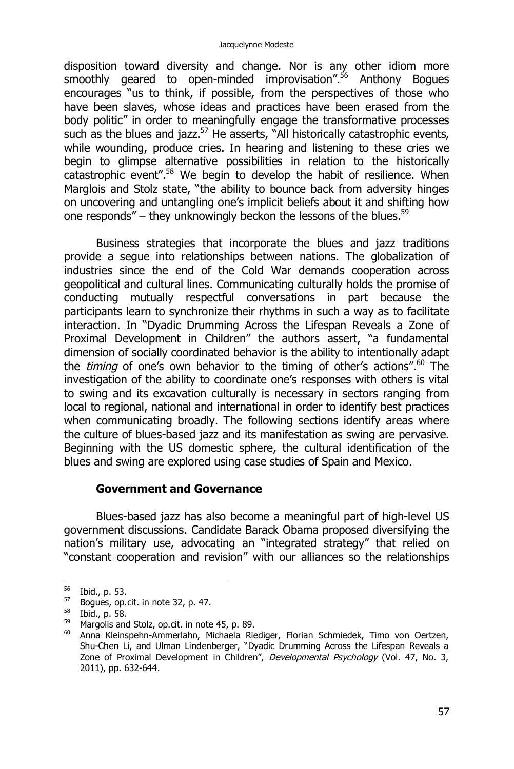disposition toward diversity and change. Nor is any other idiom more smoothly geared to open-minded improvisation".<sup>56</sup> Anthony Boques encourages "us to think, if possible, from the perspectives of those who have been slaves, whose ideas and practices have been erased from the body politic" in order to meaningfully engage the transformative processes such as the blues and jazz.<sup>57</sup> He asserts, "All historically catastrophic events, while wounding, produce cries. In hearing and listening to these cries we begin to glimpse alternative possibilities in relation to the historically catastrophic event".<sup>58</sup> We begin to develop the habit of resilience. When Marglois and Stolz state, "the ability to bounce back from adversity hinges on uncovering and untangling one's implicit beliefs about it and shifting how one responds" – they unknowingly beckon the lessons of the blues.<sup>59</sup>

Business strategies that incorporate the blues and jazz traditions provide a segue into relationships between nations. The globalization of industries since the end of the Cold War demands cooperation across geopolitical and cultural lines. Communicating culturally holds the promise of conducting mutually respectful conversations in part because the participants learn to synchronize their rhythms in such a way as to facilitate interaction. In "Dyadic Drumming Across the Lifespan Reveals a Zone of Proximal Development in Children" the authors assert, "a fundamental dimension of socially coordinated behavior is the ability to intentionally adapt the *timing* of one's own behavior to the timing of other's actions".<sup>60</sup> The investigation of the ability to coordinate one's responses with others is vital to swing and its excavation culturally is necessary in sectors ranging from local to regional, national and international in order to identify best practices when communicating broadly. The following sections identify areas where the culture of blues-based jazz and its manifestation as swing are pervasive. Beginning with the US domestic sphere, the cultural identification of the blues and swing are explored using case studies of Spain and Mexico.

#### **Government and Governance**

Blues-based jazz has also become a meaningful part of high-level US government discussions. Candidate Barack Obama proposed diversifying the nation's military use, advocating an "integrated strategy" that relied on "constant cooperation and revision" with our alliances so the relationships

<sup>&</sup>lt;sup>56</sup> Ibid., p. 53.

 $57$  Boques, op.cit. in note 32, p. 47.

<sup>58</sup> Ibid., p. 58.

<sup>&</sup>lt;sup>59</sup> Margolis and Stolz, op.cit. in note 45, p. 89.<br> $^{60}$  Anna Kleinspehn-Ammeriahn, Michaela Rie

<sup>60</sup> Anna Kleinspehn-Ammerlahn, Michaela Riediger, Florian Schmiedek, Timo von Oertzen, Shu-Chen Li, and Ulman Lindenberger, "Dyadic Drumming Across the Lifespan Reveals a Zone of Proximal Development in Children", *Developmental Psychology* (Vol. 47, No. 3, 2011), pp. 632-644.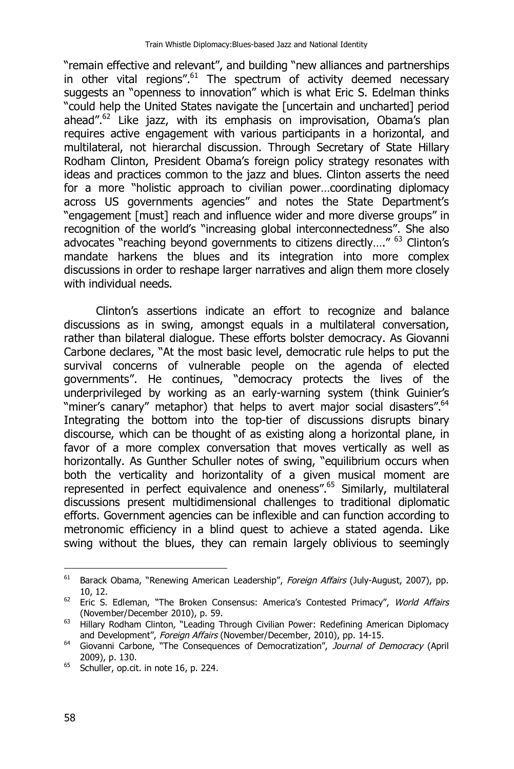"remain effective and relevant", and building "new alliances and partnerships in other vital regions".<sup>61</sup> The spectrum of activity deemed necessary suggests an "openness to innovation" which is what Eric S. Edelman thinks "could help the United States navigate the [uncertain and uncharted] period ahead". $62$  Like jazz, with its emphasis on improvisation, Obama's plan requires active engagement with various participants in a horizontal, and multilateral, not hierarchal discussion. Through Secretary of State Hillary Rodham Clinton, President Obama's foreign policy strategy resonates with ideas and practices common to the jazz and blues. Clinton asserts the need for a more "holistic approach to civilian power…coordinating diplomacy across US governments agencies" and notes the State Department's "engagement [must] reach and influence wider and more diverse groups" in recognition of the world's "increasing global interconnectedness". She also advocates "reaching beyond governments to citizens directly…." <sup>63</sup> Clinton's mandate harkens the blues and its integration into more complex discussions in order to reshape larger narratives and align them more closely with individual needs.

Clinton's assertions indicate an effort to recognize and balance discussions as in swing, amongst equals in a multilateral conversation, rather than bilateral dialogue. These efforts bolster democracy. As Giovanni Carbone declares, "At the most basic level, democratic rule helps to put the survival concerns of vulnerable people on the agenda of elected governments". He continues, "democracy protects the lives of the underprivileged by working as an early-warning system (think Guinier's "miner's canary" metaphor) that helps to avert major social disasters".<sup>64</sup> Integrating the bottom into the top-tier of discussions disrupts binary discourse, which can be thought of as existing along a horizontal plane, in favor of a more complex conversation that moves vertically as well as horizontally. As Gunther Schuller notes of swing, "equilibrium occurs when both the verticality and horizontality of a given musical moment are represented in perfect equivalence and oneness".<sup>65</sup> Similarly, multilateral discussions present multidimensional challenges to traditional diplomatic efforts. Government agencies can be inflexible and can function according to metronomic efficiency in a blind quest to achieve a stated agenda. Like swing without the blues, they can remain largely oblivious to seemingly

<sup>61</sup> <sup>61</sup> Barack Obama, "Renewing American Leadership", *Foreign Affairs* (July-August, 2007), pp. 10, 12.

<sup>62</sup> Eric S. Edleman, "The Broken Consensus: America's Contested Primacy", *World Affairs* (November/December 2010), p. 59.

<sup>63</sup> Hillary Rodham Clinton, "Leading Through Civilian Power: Redefining American Diplomacy and Development", *Foreign Affairs* (November/December, 2010), pp. 14-15.

<sup>64</sup> Giovanni Carbone, "The Consequences of Democratization", *Journal of Democracy* (April 2009), p. 130.

 $65$  Schuller, op.cit. in note 16, p. 224.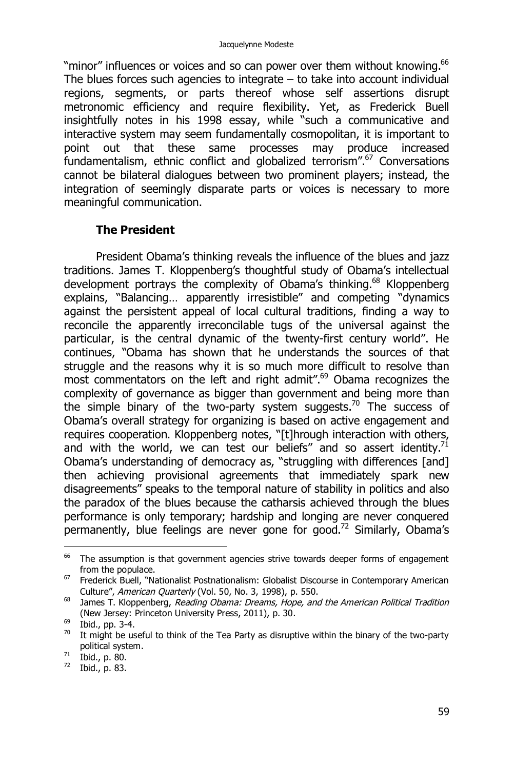"minor" influences or voices and so can power over them without knowing.<sup>66</sup> The blues forces such agencies to integrate – to take into account individual regions, segments, or parts thereof whose self assertions disrupt metronomic efficiency and require flexibility. Yet, as Frederick Buell insightfully notes in his 1998 essay, while "such a communicative and interactive system may seem fundamentally cosmopolitan, it is important to point out that these same processes may produce increased fundamentalism, ethnic conflict and globalized terrorism". $67$  Conversations cannot be bilateral dialogues between two prominent players; instead, the integration of seemingly disparate parts or voices is necessary to more meaningful communication.

#### **The President**

President Obama's thinking reveals the influence of the blues and jazz traditions. James T. Kloppenberg's thoughtful study of Obama's intellectual development portrays the complexity of Obama's thinking.<sup>68</sup> Kloppenberg explains, "Balancing… apparently irresistible" and competing "dynamics against the persistent appeal of local cultural traditions, finding a way to reconcile the apparently irreconcilable tugs of the universal against the particular, is the central dynamic of the twenty-first century world". He continues, "Obama has shown that he understands the sources of that struggle and the reasons why it is so much more difficult to resolve than most commentators on the left and right admit".<sup>69</sup> Obama recognizes the complexity of governance as bigger than government and being more than the simple binary of the two-party system suggests.<sup>70</sup> The success of Obama's overall strategy for organizing is based on active engagement and requires cooperation. Kloppenberg notes, "[t]hrough interaction with others, and with the world, we can test our beliefs" and so assert identity.<sup>71</sup> Obama's understanding of democracy as, "struggling with differences [and] then achieving provisional agreements that immediately spark new disagreements" speaks to the temporal nature of stability in politics and also the paradox of the blues because the catharsis achieved through the blues performance is only temporary; hardship and longing are never conquered permanently, blue feelings are never gone for good.<sup>72</sup> Similarly, Obama's

<sup>72</sup> Ibid., p. 83.

<sup>66</sup> The assumption is that government agencies strive towards deeper forms of engagement from the populace.

<sup>&</sup>lt;sup>67</sup> Frederick Buell, "Nationalist Postnationalism: Globalist Discourse in Contemporary American Culture", *American Quarterly* (Vol. 50, No. 3, 1998), p. 550.

<sup>68</sup> James T. Kloppenberg, *Reading Obama: Dreams, Hope, and the American Political Tradition* (New Jersey: Princeton University Press, 2011), p. 30.

 $^{69}$  Ibid., pp. 3-4.

 $70$  It might be useful to think of the Tea Party as disruptive within the binary of the two-party political system.

 $71$  Ibid., p. 80.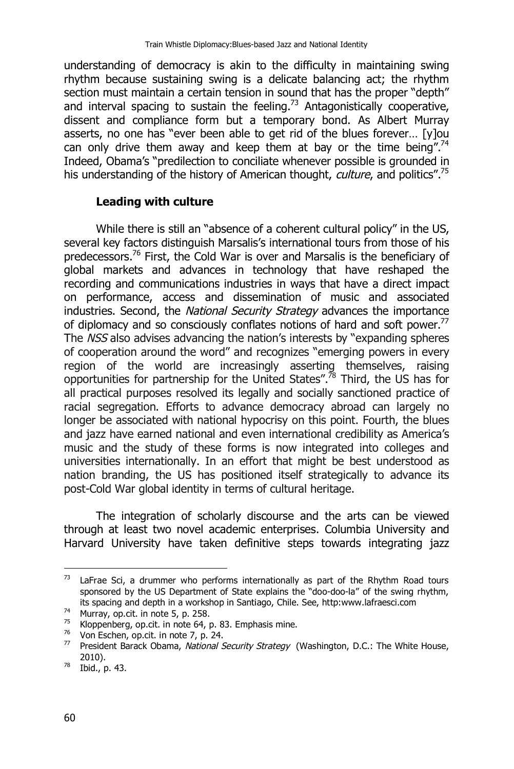understanding of democracy is akin to the difficulty in maintaining swing rhythm because sustaining swing is a delicate balancing act; the rhythm section must maintain a certain tension in sound that has the proper "depth" and interval spacing to sustain the feeling.<sup>73</sup> Antagonistically cooperative, dissent and compliance form but a temporary bond. As Albert Murray asserts, no one has "ever been able to get rid of the blues forever… [y]ou can only drive them away and keep them at bay or the time being".<sup>74</sup> Indeed, Obama's "predilection to conciliate whenever possible is grounded in his understanding of the history of American thought, *culture*, and politics".<sup>75</sup>

#### **Leading with culture**

While there is still an "absence of a coherent cultural policy" in the US, several key factors distinguish Marsalis's international tours from those of his predecessors.<sup>76</sup> First, the Cold War is over and Marsalis is the beneficiary of global markets and advances in technology that have reshaped the recording and communications industries in ways that have a direct impact on performance, access and dissemination of music and associated industries. Second, the *National Security Strategy* advances the importance of diplomacy and so consciously conflates notions of hard and soft power.<sup>77</sup> The *NSS* also advises advancing the nation's interests by "expanding spheres of cooperation around the word" and recognizes "emerging powers in every region of the world are increasingly asserting themselves, raising opportunities for partnership for the United States".<sup>78</sup> Third, the US has for all practical purposes resolved its legally and socially sanctioned practice of racial segregation. Efforts to advance democracy abroad can largely no longer be associated with national hypocrisy on this point. Fourth, the blues and jazz have earned national and even international credibility as America's music and the study of these forms is now integrated into colleges and universities internationally. In an effort that might be best understood as nation branding, the US has positioned itself strategically to advance its post-Cold War global identity in terms of cultural heritage.

The integration of scholarly discourse and the arts can be viewed through at least two novel academic enterprises. Columbia University and Harvard University have taken definitive steps towards integrating jazz

<sup>73</sup> LaFrae Sci, a drummer who performs internationally as part of the Rhythm Road tours sponsored by the US Department of State explains the "doo-doo-la" of the swing rhythm, its spacing and depth in a workshop in Santiago, Chile. See, http:www.lafraesci.com

<sup>&</sup>lt;sup>74</sup> Murray, op.cit. in note 5, p. 258.<br> $^{75}$  Klonnenberg, on cit, in note 64, p.

Kloppenberg, op.cit. in note 64, p. 83. Emphasis mine.

 $76$  Von Eschen, op.cit. in note 7, p. 24.

<sup>77</sup> President Barack Obama, *National Security Strategy* (Washington, D.C.: The White House, 2010).

<sup>78</sup> Ibid., p. 43.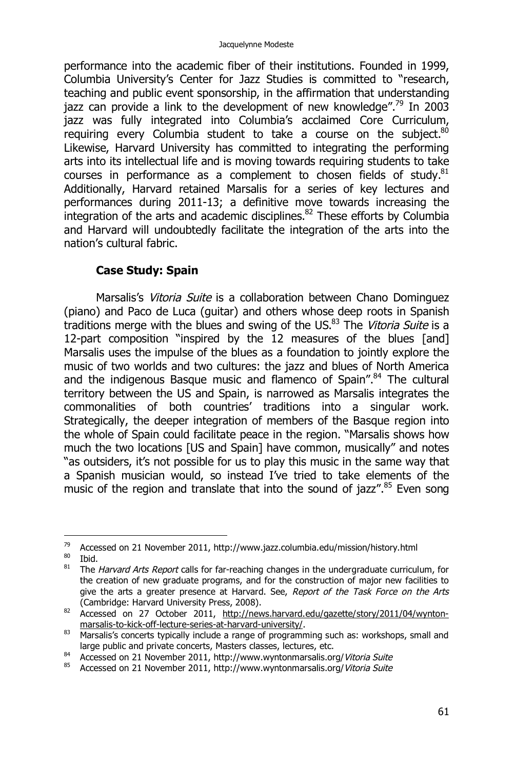performance into the academic fiber of their institutions. Founded in 1999, Columbia University's Center for Jazz Studies is committed to "research, teaching and public event sponsorship, in the affirmation that understanding jazz can provide a link to the development of new knowledge".<sup>79</sup> In 2003 jazz was fully integrated into Columbia's acclaimed Core Curriculum, requiring every Columbia student to take a course on the subject. $80$ Likewise, Harvard University has committed to integrating the performing arts into its intellectual life and is moving towards requiring students to take courses in performance as a complement to chosen fields of study. $81$ Additionally, Harvard retained Marsalis for a series of key lectures and performances during 2011-13; a definitive move towards increasing the  $\frac{1}{2}$  integration of the arts and academic disciplines.<sup>82</sup> These efforts by Columbia and Harvard will undoubtedly facilitate the integration of the arts into the nation's cultural fabric.

## **Case Study: Spain**

Marsalis's *Vitoria Suite* is a collaboration between Chano Dominguez (piano) and Paco de Luca (guitar) and others whose deep roots in Spanish traditions merge with the blues and swing of the US.<sup>83</sup> The *Vitoria Suite* is a 12-part composition "inspired by the 12 measures of the blues [and] Marsalis uses the impulse of the blues as a foundation to jointly explore the music of two worlds and two cultures: the jazz and blues of North America and the indigenous Basque music and flamenco of Spain".<sup>84</sup> The cultural territory between the US and Spain, is narrowed as Marsalis integrates the commonalities of both countries' traditions into a singular work. Strategically, the deeper integration of members of the Basque region into the whole of Spain could facilitate peace in the region. "Marsalis shows how much the two locations [US and Spain] have common, musically" and notes "as outsiders, it's not possible for us to play this music in the same way that a Spanish musician would, so instead I've tried to take elements of the music of the region and translate that into the sound of jazz".<sup>85</sup> Even song

<sup>79</sup> <sup>79</sup> Accessed on 21 November 2011, http://www.jazz.columbia.edu/mission/history.html<br><sup>80</sup> Thid

 $rac{80}{81}$  Ibid.

<sup>81</sup> The *Harvard Arts Report* calls for far-reaching changes in the undergraduate curriculum, for the creation of new graduate programs, and for the construction of major new facilities to give the arts a greater presence at Harvard. See, *Report of the Task Force on the Arts* (Cambridge: Harvard University Press, 2008).

<sup>82</sup> Accessed on 27 October 2011, http://news.harvard.edu/gazette/story/2011/04/wyntonmarsalis-to-kick-off-lecture-series-at-harvard-university/.

<sup>83</sup> Marsalis's concerts typically include a range of programming such as: workshops, small and large public and private concerts, Masters classes, lectures, etc.

<sup>84</sup> Accessed on 21 November 2011, http://www.wyntonmarsalis.org/*Vitoria Suite*

<sup>85</sup> Accessed on 21 November 2011, http://www.wyntonmarsalis.org/*Vitoria Suite*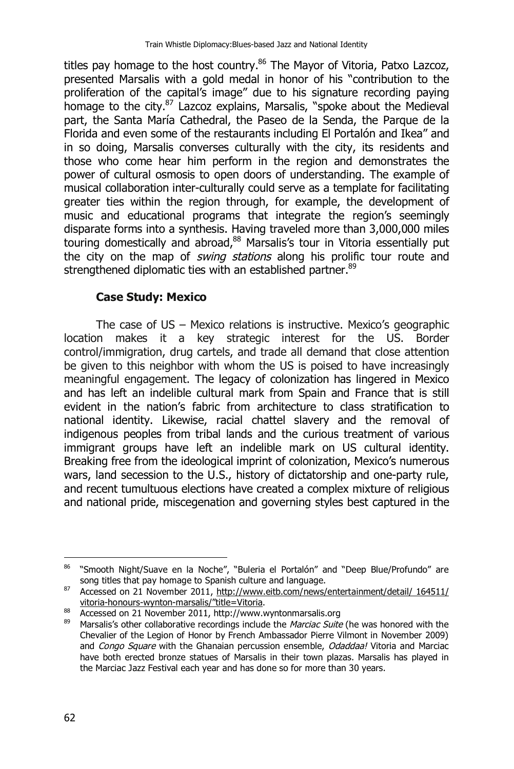titles pay homage to the host country.<sup>86</sup> The Mayor of Vitoria, Patxo Lazcoz, presented Marsalis with a gold medal in honor of his "contribution to the proliferation of the capital's image" due to his signature recording paying homage to the city.<sup>87</sup> Lazcoz explains, Marsalis, "spoke about the Medieval part, the Santa María Cathedral, the Paseo de la Senda, the Parque de la Florida and even some of the restaurants including El Portalón and Ikea" and in so doing, Marsalis converses culturally with the city, its residents and those who come hear him perform in the region and demonstrates the power of cultural osmosis to open doors of understanding. The example of musical collaboration inter-culturally could serve as a template for facilitating greater ties within the region through, for example, the development of music and educational programs that integrate the region's seemingly disparate forms into a synthesis. Having traveled more than 3,000,000 miles touring domestically and abroad,<sup>88</sup> Marsalis's tour in Vitoria essentially put the city on the map of *swing stations* along his prolific tour route and strengthened diplomatic ties with an established partner.<sup>89</sup>

### **Case Study: Mexico**

The case of US – Mexico relations is instructive. Mexico's geographic location makes it a key strategic interest for the US. Border control/immigration, drug cartels, and trade all demand that close attention be given to this neighbor with whom the US is poised to have increasingly meaningful engagement. The legacy of colonization has lingered in Mexico and has left an indelible cultural mark from Spain and France that is still evident in the nation's fabric from architecture to class stratification to national identity. Likewise, racial chattel slavery and the removal of indigenous peoples from tribal lands and the curious treatment of various immigrant groups have left an indelible mark on US cultural identity. Breaking free from the ideological imprint of colonization, Mexico's numerous wars, land secession to the U.S., history of dictatorship and one-party rule, and recent tumultuous elections have created a complex mixture of religious and national pride, miscegenation and governing styles best captured in the

<sup>&</sup>lt;sup>86</sup> "Smooth Night/Suave en la Noche", "Buleria el Portalón" and "Deep Blue/Profundo" are song titles that pay homage to Spanish culture and language.

<sup>87</sup> Song titles that pay normage to opernant canter and ranguage.<br>87 Accessed on 21 November 2011, http://www.eitb.com/news/entertainment/detail/ 164511/ vitoria-honours-wynton-marsalis/"title=Vitoria.

 $\frac{88}{200}$  Accessed on 21 November 2011, http://www.wyntonmarsalis.org<br> $\frac{89}{200}$  Marcalis's other collaborative recordings include the *Marciac Suite* 

<sup>89</sup> Marsalis's other collaborative recordings include the *Marciac Suite* (he was honored with the Chevalier of the Legion of Honor by French Ambassador Pierre Vilmont in November 2009) and *Congo Square* with the Ghanaian percussion ensemble, *Odaddaa!* Vitoria and Marciac have both erected bronze statues of Marsalis in their town plazas. Marsalis has played in the Marciac Jazz Festival each year and has done so for more than 30 years.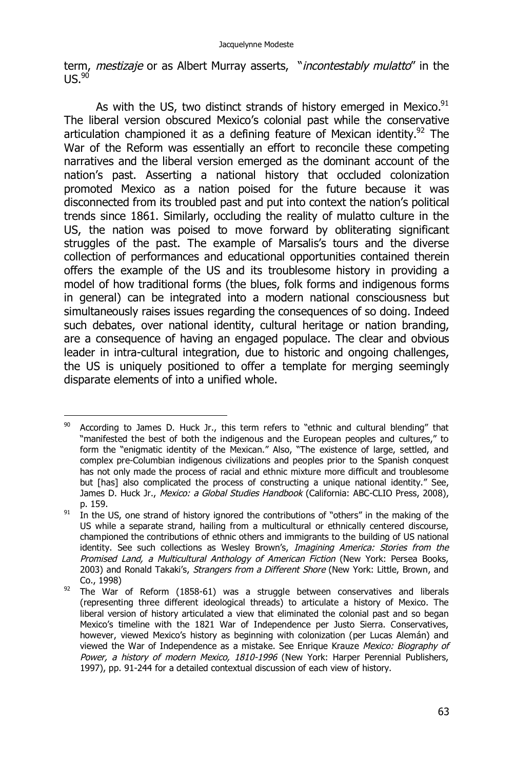term, *mestizaje* or as Albert Murray asserts, "*incontestably mulatto*" in the  $11S.90$ 

As with the US, two distinct strands of history emerged in Mexico. $91$ The liberal version obscured Mexico's colonial past while the conservative articulation championed it as a defining feature of Mexican identity.<sup>92</sup> The War of the Reform was essentially an effort to reconcile these competing narratives and the liberal version emerged as the dominant account of the nation's past. Asserting a national history that occluded colonization promoted Mexico as a nation poised for the future because it was disconnected from its troubled past and put into context the nation's political trends since 1861. Similarly, occluding the reality of mulatto culture in the US, the nation was poised to move forward by obliterating significant struggles of the past. The example of Marsalis's tours and the diverse collection of performances and educational opportunities contained therein offers the example of the US and its troublesome history in providing a model of how traditional forms (the blues, folk forms and indigenous forms in general) can be integrated into a modern national consciousness but simultaneously raises issues regarding the consequences of so doing. Indeed such debates, over national identity, cultural heritage or nation branding, are a consequence of having an engaged populace. The clear and obvious leader in intra-cultural integration, due to historic and ongoing challenges, the US is uniquely positioned to offer a template for merging seemingly disparate elements of into a unified whole.

 $\overline{a}$  $90$  According to James D. Huck Jr., this term refers to "ethnic and cultural blending" that "manifested the best of both the indigenous and the European peoples and cultures," to form the "enigmatic identity of the Mexican." Also, "The existence of large, settled, and complex pre-Columbian indigenous civilizations and peoples prior to the Spanish conquest has not only made the process of racial and ethnic mixture more difficult and troublesome but [has] also complicated the process of constructing a unique national identity." See, James D. Huck Jr., *Mexico: a Global Studies Handbook* (California: ABC-CLIO Press, 2008), p. 159.

 $91$  In the US, one strand of history ignored the contributions of "others" in the making of the US while a separate strand, hailing from a multicultural or ethnically centered discourse, championed the contributions of ethnic others and immigrants to the building of US national identity. See such collections as Wesley Brown's, *Imagining America: Stories from the Promised Land, a Multicultural Anthology of American Fiction* (New York: Persea Books, 2003) and Ronald Takaki's, *Strangers from a Different Shore* (New York: Little, Brown, and Co., 1998)

 $92$  The War of Reform (1858-61) was a struggle between conservatives and liberals (representing three different ideological threads) to articulate a history of Mexico. The liberal version of history articulated a view that eliminated the colonial past and so began Mexico's timeline with the 1821 War of Independence per Justo Sierra. Conservatives, however, viewed Mexico's history as beginning with colonization (per Lucas Alemán) and viewed the War of Independence as a mistake. See Enrique Krauze *Mexico: Biography of Power, a history of modern Mexico, 1810-1996* (New York: Harper Perennial Publishers, 1997), pp. 91-244 for a detailed contextual discussion of each view of history.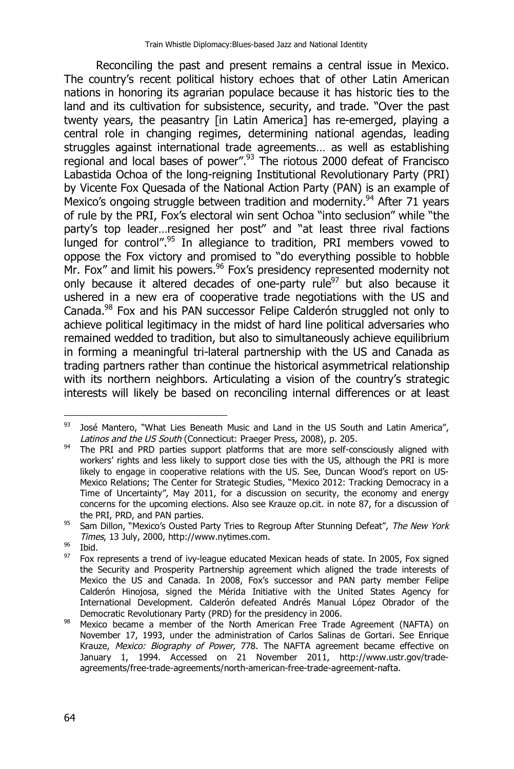Reconciling the past and present remains a central issue in Mexico. The country's recent political history echoes that of other Latin American nations in honoring its agrarian populace because it has historic ties to the land and its cultivation for subsistence, security, and trade. "Over the past twenty years, the peasantry [in Latin America] has re-emerged, playing a central role in changing regimes, determining national agendas, leading struggles against international trade agreements… as well as establishing regional and local bases of power".<sup>93</sup> The riotous 2000 defeat of Francisco Labastida Ochoa of the long-reigning Institutional Revolutionary Party (PRI) by Vicente Fox Quesada of the National Action Party (PAN) is an example of Mexico's ongoing struggle between tradition and modernity.<sup>94</sup> After 71 years of rule by the PRI, Fox's electoral win sent Ochoa "into seclusion" while "the party's top leader…resigned her post" and "at least three rival factions lunged for control".<sup>95</sup> In allegiance to tradition, PRI members vowed to oppose the Fox victory and promised to "do everything possible to hobble Mr. Fox" and limit his powers.<sup>96</sup> Fox's presidency represented modernity not only because it altered decades of one-party rule<sup>97</sup> but also because it ushered in a new era of cooperative trade negotiations with the US and Canada.<sup>98</sup> Fox and his PAN successor Felipe Calderón struggled not only to achieve political legitimacy in the midst of hard line political adversaries who remained wedded to tradition, but also to simultaneously achieve equilibrium in forming a meaningful tri-lateral partnership with the US and Canada as trading partners rather than continue the historical asymmetrical relationship with its northern neighbors. Articulating a vision of the country's strategic interests will likely be based on reconciling internal differences or at least

 $\overline{a}$  $93$  José Mantero, "What Lies Beneath Music and Land in the US South and Latin America", *Latinos and the US South* (Connecticut: Praeger Press, 2008), p. 205.

<sup>&</sup>lt;sup>94</sup> The PRI and PRD parties support platforms that are more self-consciously aligned with workers' rights and less likely to support close ties with the US, although the PRI is more likely to engage in cooperative relations with the US. See, Duncan Wood's report on US-Mexico Relations; The Center for Strategic Studies, "Mexico 2012: Tracking Democracy in a Time of Uncertainty", May 2011, for a discussion on security, the economy and energy concerns for the upcoming elections. Also see Krauze op.cit. in note 87, for a discussion of the PRI, PRD, and PAN parties.

<sup>95</sup> Sam Dillon, "Mexico's Ousted Party Tries to Regroup After Stunning Defeat", *The New York Times*, 13 July, 2000, http://www.nytimes.com.

 $\frac{96}{97}$  Ibid.

<sup>97</sup> Fox represents a trend of ivy-league educated Mexican heads of state. In 2005, Fox signed the Security and Prosperity Partnership agreement which aligned the trade interests of Mexico the US and Canada. In 2008, Fox's successor and PAN party member Felipe Calderón Hinojosa, signed the Mérida Initiative with the United States Agency for International Development. Calderón defeated Andrés Manual López Obrador of the Democratic Revolutionary Party (PRD) for the presidency in 2006.

<sup>98</sup> Mexico became a member of the North American Free Trade Agreement (NAFTA) on November 17, 1993, under the administration of Carlos Salinas de Gortari. See Enrique Krauze, *Mexico: Biography of Power,* 778. The NAFTA agreement became effective on January 1, 1994. Accessed on 21 November 2011, http://www.ustr.gov/tradeagreements/free-trade-agreements/north-american-free-trade-agreement-nafta.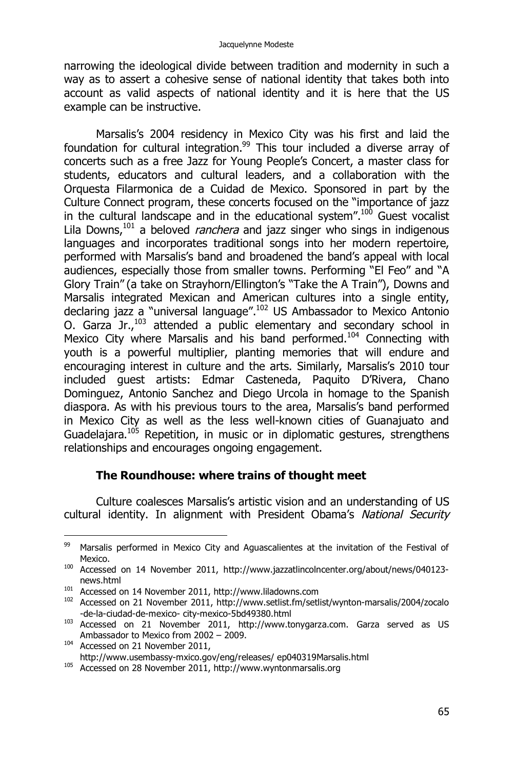narrowing the ideological divide between tradition and modernity in such a way as to assert a cohesive sense of national identity that takes both into account as valid aspects of national identity and it is here that the US example can be instructive.

Marsalis's 2004 residency in Mexico City was his first and laid the foundation for cultural integration.<sup>99</sup> This tour included a diverse array of concerts such as a free Jazz for Young People's Concert, a master class for students, educators and cultural leaders, and a collaboration with the Orquesta Filarmonica de a Cuidad de Mexico. Sponsored in part by the Culture Connect program, these concerts focused on the "importance of jazz in the cultural landscape and in the educational system".<sup>100</sup> Guest vocalist Lila Downs,<sup>101</sup> a beloved *ranchera* and jazz singer who sings in indigenous languages and incorporates traditional songs into her modern repertoire, performed with Marsalis's band and broadened the band's appeal with local audiences, especially those from smaller towns. Performing "El Feo" and "A Glory Train" (a take on Strayhorn/Ellington's "Take the A Train"), Downs and Marsalis integrated Mexican and American cultures into a single entity, declaring jazz a "universal language".<sup>102</sup> US Ambassador to Mexico Antonio O. Garza Jr.,<sup>103</sup> attended a public elementary and secondary school in Mexico City where Marsalis and his band performed.<sup>104</sup> Connecting with youth is a powerful multiplier, planting memories that will endure and encouraging interest in culture and the arts. Similarly, Marsalis's 2010 tour included guest artists: Edmar Casteneda, Paquito D'Rivera, Chano Dominguez, Antonio Sanchez and Diego Urcola in homage to the Spanish diaspora. As with his previous tours to the area, Marsalis's band performed in Mexico City as well as the less well-known cities of Guanajuato and Guadelajara.<sup>105</sup> Repetition, in music or in diplomatic gestures, strengthens relationships and encourages ongoing engagement.

#### **The Roundhouse: where trains of thought meet**

Culture coalesces Marsalis's artistic vision and an understanding of US cultural identity. In alignment with President Obama's *National Security* 

 99 Marsalis performed in Mexico City and Aguascalientes at the invitation of the Festival of Mexico.

<sup>100</sup> Accessed on 14 November 2011, http://www.jazzatlincolncenter.org/about/news/040123 news.html

<sup>101</sup> Accessed on 14 November 2011, http://www.liladowns.com

<sup>102</sup> Accessed on 21 November 2011, http://www.setlist.fm/setlist/wynton-marsalis/2004/zocalo -de-la-ciudad-de-mexico- city-mexico-5bd49380.html

<sup>103</sup> Accessed on 21 November 2011, http://www.tonygarza.com. Garza served as US Ambassador to Mexico from 2002 – 2009.

<sup>&</sup>lt;sup>104</sup> Accessed on 21 November 2011, http://www.usembassy-mxico.gov/eng/releases/ ep040319Marsalis.html

<sup>&</sup>lt;sup>105</sup> Accessed on 28 November 2011, http://www.wyntonmarsalis.org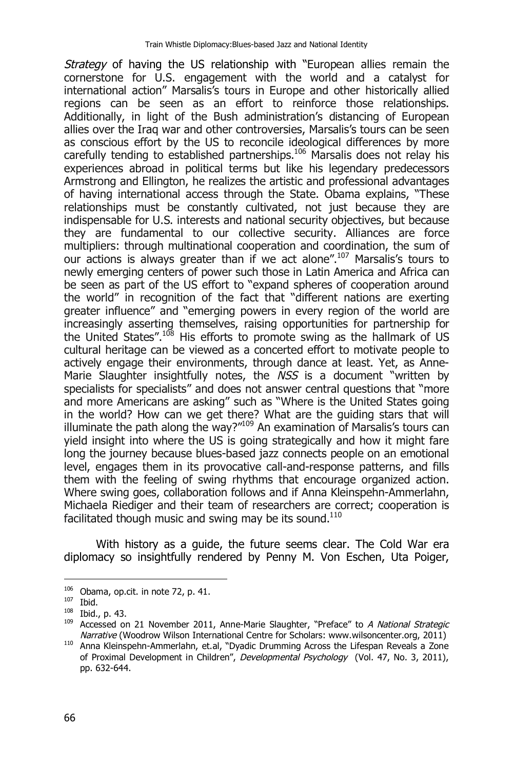*Strategy* of having the US relationship with "European allies remain the cornerstone for U.S. engagement with the world and a catalyst for international action" Marsalis's tours in Europe and other historically allied regions can be seen as an effort to reinforce those relationships. Additionally, in light of the Bush administration's distancing of European allies over the Iraq war and other controversies, Marsalis's tours can be seen as conscious effort by the US to reconcile ideological differences by more carefully tending to established partnerships.<sup>106</sup> Marsalis does not relay his experiences abroad in political terms but like his legendary predecessors Armstrong and Ellington, he realizes the artistic and professional advantages of having international access through the State. Obama explains, "These relationships must be constantly cultivated, not just because they are indispensable for U.S. interests and national security objectives, but because they are fundamental to our collective security. Alliances are force multipliers: through multinational cooperation and coordination, the sum of our actions is always greater than if we act alone".<sup>107</sup> Marsalis's tours to newly emerging centers of power such those in Latin America and Africa can be seen as part of the US effort to "expand spheres of cooperation around the world" in recognition of the fact that "different nations are exerting greater influence" and "emerging powers in every region of the world are increasingly asserting themselves, raising opportunities for partnership for the United States".<sup>108</sup> His efforts to promote swing as the hallmark of US cultural heritage can be viewed as a concerted effort to motivate people to actively engage their environments, through dance at least. Yet, as Anne-Marie Slaughter insightfully notes, the *NSS* is a document "written by specialists for specialists" and does not answer central questions that "more and more Americans are asking" such as "Where is the United States going in the world? How can we get there? What are the guiding stars that will illuminate the path along the way? $^{\prime\prime\prime09}$  An examination of Marsalis's tours can yield insight into where the US is going strategically and how it might fare long the journey because blues-based jazz connects people on an emotional level, engages them in its provocative call-and-response patterns, and fills them with the feeling of swing rhythms that encourage organized action. Where swing goes, collaboration follows and if Anna Kleinspehn-Ammerlahn, Michaela Riediger and their team of researchers are correct; cooperation is facilitated though music and swing may be its sound.<sup>110</sup>

With history as a guide, the future seems clear. The Cold War era diplomacy so insightfully rendered by Penny M. Von Eschen, Uta Poiger,

 $106$  Obama, op.cit. in note 72, p. 41.

 $107$  Ibid.

<sup>108</sup> Ibid., p. 43.

<sup>109</sup> Accessed on 21 November 2011, Anne-Marie Slaughter, "Preface" to *A National Strategic Narrative* (Woodrow Wilson International Centre for Scholars: www.wilsoncenter.org, 2011)

<sup>110</sup> Anna Kleinspehn-Ammerlahn, et.al, "Dyadic Drumming Across the Lifespan Reveals a Zone of Proximal Development in Children", *Developmental Psychology* (Vol. 47, No. 3, 2011), pp. 632-644.